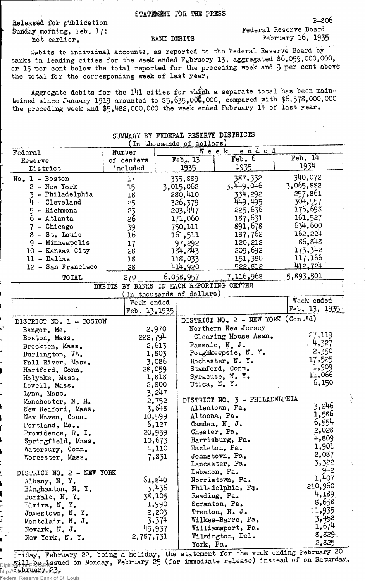STATEMENT FOR THE PRESS

Released for publication Sunday morning, Feb. 17; not earlier.

ĩ

## BANK DEBITS

Federal Reserve Board February l6, 1935

B-S06

Debits to individual accounts, as reported to the Pederal Reserve Board by banks in leading cities for the week ended February 13, aggregated \$6,059,000,000, or 15 per cent below the total reported for the preceding week and 3 per cent above the total for the corresponding week of last year.

Aggregate debits for the 141 cities for which a separate total has been maintained since January 1919 amounted to  $$5,635,000,000$ , compared with  $$6,578,000,000$ the preceding week and  $$5,482,000,000$  the week ended February 14 of last year.

SUMMARY BY FEDERAL RESERVE DISTRICTS

| In thousands of dollars)                                                            |                                          |        |                           |                                    |                           |
|-------------------------------------------------------------------------------------|------------------------------------------|--------|---------------------------|------------------------------------|---------------------------|
| Federal                                                                             | Number                                   |        |                           | ended<br>Week                      |                           |
| Reserve                                                                             | of centers                               |        | Feb., 13                  | Feb.6                              | Feb.14                    |
| District                                                                            | included                                 |        | 1935                      | 1935                               | 1934                      |
| $No. 1 - Boston$                                                                    | 17                                       |        | 335,889                   | 387,332                            | 340,072                   |
| $2 - New York$                                                                      | 15                                       |        | 3,015,062                 | 3,449,046                          | 3,065,882                 |
| 3 - Philadelphia                                                                    | 18                                       |        | 280,410                   | 334,292                            | 257,861                   |
| $4 -$ Cleveland                                                                     | 25                                       |        | 326,379                   | 449,495                            | 304,557                   |
| $5 -$ Richmond                                                                      | 23                                       |        | 203,447                   | 225,636                            | 176,698                   |
| $6 - \text{Atlanta}$                                                                | 26                                       |        | 171,060                   | 187,631                            | 161,527                   |
| 7 - Chicago                                                                         |                                          |        | 750,111                   | 891,678                            | 634,600                   |
| $8 - St.$ Louis                                                                     | 39<br>16                                 |        |                           | 187,762                            | 162,224                   |
|                                                                                     |                                          |        | 161,511                   | 120,212                            | 86,848                    |
| 9 - Minneapolis                                                                     | 17                                       |        | 97,292                    |                                    | 173,342                   |
| 10 - Kansas City                                                                    | 28                                       |        | 184,843                   | 209,692                            |                           |
| $11 - Dallas$                                                                       | 18                                       |        | 118,033                   | 151,380                            | 117,166<br><u>412.724</u> |
| 12 - San Francisco                                                                  | 28                                       |        | 414,920                   | <u>522.812</u>                     |                           |
| <b>TOTAL</b>                                                                        | 270                                      |        | 6,058,957                 | 7,116,968                          | 5,893,501                 |
|                                                                                     | DEBITS BY BANKS IN EACH REPORTING CENTER |        |                           |                                    |                           |
|                                                                                     |                                          |        | (In thousands of dollars) |                                    | Week ended                |
|                                                                                     | Week ended                               |        |                           |                                    |                           |
|                                                                                     | Feb. 13, 1935                            |        |                           |                                    | Feb. $13, 1935$           |
| DISTRICT NO. 1 - BOSTON                                                             |                                          |        |                           | DISTRICT NO. 2 - NEW YORK (Cont'd) |                           |
| Bangor, Me.                                                                         |                                          | 2,970  |                           | Northern New Jersey                |                           |
| Boston, Mass.                                                                       | 222,794                                  |        |                           | Clearing House Assn.               | 27,119                    |
| Brockton, Mass.                                                                     |                                          | 2,613  |                           | Passaic, N.J.                      | 4,327                     |
| Burlington, Vt.                                                                     |                                          | 1,803  |                           | Poughkeepsie, N.Y.                 | 2,350                     |
| Fall River, Mass.                                                                   |                                          | 3,086  |                           | Rochester, N.Y.                    | 17,525                    |
| Hartford, Conn.                                                                     | 28,059                                   |        |                           | Stamford, Conn.                    | 1,909                     |
| Holyoke, Mass.                                                                      |                                          | 1,818  |                           | Syracuse, N.Y.                     | 11,066                    |
| Lowell, Mass.                                                                       |                                          | 2,800  | Utica, N.Y.               |                                    | 6,150                     |
| Lynn, Mass.                                                                         |                                          | 3,247  |                           |                                    |                           |
| Manchester, N. H.                                                                   |                                          | 2,752  |                           | DISTRICT NO. 3 - PHILADELPHIA      |                           |
| New Bedford, Mass.                                                                  |                                          | 3,648  |                           | Allentown, Pa.                     | 3,246                     |
| New Haven, Conn.                                                                    |                                          | 10,599 |                           | Altoona, Pa.                       | 1,586                     |
| Portland, Me                                                                        |                                          | 6,127  |                           | Camden, N. J.                      | 6,554                     |
| Providence, R. I.                                                                   |                                          | 20,959 |                           | Chester, Pa.                       | 2,028                     |
| Springfield, Mass.                                                                  |                                          | 10,673 |                           | Harrisburg, Pa.                    | 4,809                     |
| Waterbury, Conn.                                                                    |                                          | 4,110  |                           | Hazleton, Pa.                      | 1,901                     |
| Worcester, Mass.                                                                    |                                          | 7,831  |                           | Johnstown, Pa.                     | 2,087                     |
|                                                                                     |                                          |        |                           | Lancaster, Pa.                     | 3,322                     |
| DISTRICT NO. 2 - NEW YORK                                                           |                                          |        |                           | Lebanon, Pa.                       | 942                       |
|                                                                                     |                                          | 61,840 |                           | Norristown, Pa.                    | 1,407                     |
| Albany, N.Y.                                                                        |                                          | 3,436  |                           | Philadelphia, Pa.                  | 210,960                   |
| Binghamton, N.Y.                                                                    |                                          | 38,105 |                           | Reading, Pa.                       | 4,189                     |
| Buffalo, N. Y.                                                                      |                                          | 1,990  |                           | Scranton, Pa.                      | 8,658                     |
| Elmira, N.Y.                                                                        |                                          |        |                           | Trenton, N. J.                     | 11,935                    |
| Jamestown, N.Y.                                                                     |                                          | 2,203  |                           | Wilkes-Barre, Pa.                  | 3,458                     |
| Montclair, N. J.                                                                    |                                          | 3,374  |                           |                                    | 1,674                     |
| Newark, N. J.                                                                       |                                          | 45,937 |                           | Williamsport, Pa.                  | 8,829                     |
| New York, N. Y.                                                                     | 2,787,731                                |        |                           | Wilmington, Del.                   | 2,825                     |
|                                                                                     |                                          |        | York, Pa.                 |                                    |                           |
| Friday, February 22, being a holiday, the statement for the week ending February 20 |                                          |        |                           |                                    |                           |

## Friday, February 22, being a holiday, the will be issued on Monday, February 25 (for **Figure 10 Throck 23** immediate release) instead of Saturday, Theorem ary 25 (for immediate release) instead of on Saturday. Federal Reserve Bank of St. Louis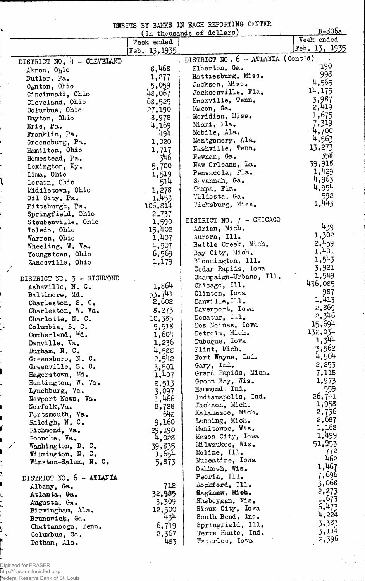EffilTS BY BANKS IN EACH REPORTING CENTER

|                            |                                | DEBITS BY BANKS IN EACH REPORTING CENTER | $B-806a$        |
|----------------------------|--------------------------------|------------------------------------------|-----------------|
|                            |                                | (In thousands of dollars)                | Week ended      |
|                            | Week ended                     |                                          | Feb. $13, 1935$ |
|                            | Feb. 13, 1935                  |                                          |                 |
| DISTRICT NO. 4 - CLEVELAND |                                | DISTRICT NO. 6 - ATLANTA (Cont'd)        |                 |
| Akron, Ohio                | 8,468                          | Elberton, Ga.                            | 190             |
| Butler, Pa.                | 1,277                          | Hattiesburg, Miss.                       | 998             |
| C <sub>a</sub> nton, Ohio  | 5,059                          | Jackson, Miss.                           | 4,565           |
| Cincinnati, Ohio           | 48,067                         | Jacksonville, Fla.                       | 14,175          |
| Cleveland, Ohio            | 68,525                         | Knoxville, Tenn.                         | 3,987           |
| Columbus, Ohio             | 27,190                         | Macon, Ga.                               | 2,419           |
| Dayton, Ohio               | 8,978                          | Meridian, Miss.                          | 1,675           |
| Erie, Pa.                  | 4,169                          | Miami, Fla.                              | 7,319           |
| Franklin, Pa.              | 494                            | Mobile, Ala.                             | 4,700           |
| Greensburg, Pa.            | 1,020                          | Montgomery, Ala.                         | 4,563           |
| Hamilton, Ohio             | 1,717                          | Nashville, Tenn.                         | 13,273          |
| Homestead, Pa.             | 346                            | Newnan, Ga.                              | 358             |
| Lexington, Ky.             | 5,700                          | New Orleans, La.                         | 39,918          |
| Lima, Ohio                 | 1,519                          | Pensacola, Fla.                          | 1,429           |
|                            | -514                           | Savannah, Ga.                            | 4,963           |
| Lorain, Ohio               |                                | Tampa, Fla.                              | 4,954           |
| Middletown, Ohio           | 1,278<br>$\mathbf{v}$<br>1,453 | Valdosta, Ga.                            | 592             |
| Oil City, Pa.              |                                | Vicksburg, Miss.                         | 1,443           |
| Pittsburgh, Pa.            | 106,814                        |                                          |                 |
| Springfield, Ohio          | 2,737                          | DISTRICT NO. 7 - CHICAGO                 |                 |
| Steubenville, Ohio         | 1,590                          | Adrian, Mich.                            | 439             |
| Toledo, Ohio               | 15,402                         |                                          | 1,302           |
| Warren, Ohio               | 1,407                          | Aurora, Ill.<br>Battle Creek, Mich.      | 2,459           |
| Wheeling, W. Va.           | 4,907                          |                                          | 1,401           |
| Youngstown, Ohio           | 6,569                          | Bay City, Mich.                          | 1,543           |
| Zanesville, Ohio           | 1,179                          | Bloomington, Ill.                        | 3,921           |
|                            |                                | Cedar Rapids, Iowa                       | 1,549           |
| DISTRICT NO. 5 - RICHMOND  |                                | Champaign-Urbana, Ill.                   | 436,085         |
| Asheville, N. C.           | 1,864                          | Chicago, Ill.                            |                 |
| Baltimore, Md.             | 53,741                         | Clinton, Iowa                            | 987             |
| Charleston, S. C.          | 2,602                          | Danville, Ill.                           | 1,413           |
| Charleston, W. Va.         | 8,273                          | Davenport, Iowa                          | 2,869           |
| Charlotte, N. C.           | 10,385                         | Decatur, Ill.                            | 2,346           |
| Columbia, S. C.            | 5,518                          | Des Moines, Iowa                         | 15,694          |
| Cumberland, Md.            | 1,604                          | Detroit, Mich.                           | 132,034         |
| Danville, Va.              | 1,236                          | Dubuque, Iowa                            | 1,344           |
| Durham, N. C.              | 4,585                          | Flint, Mich.                             | 3,562           |
| Greensboro, N.C.           | 2,542                          | Fort Wayne, Ind.                         | 4,504           |
| Greenville, S. C.          | 3,501                          | Gary, Ind.                               | 2,253           |
| Hagerstown, Md.            | 1,407                          | Grand Rapids, Mich.                      | 7,118           |
| Huntington, W. Va.         | 2,513                          | Green Bay, Wis.                          | 1,973           |
| Lynchburg, Va.             | 3,097                          | Hammond, Ind.                            | 559             |
| Newport News, Va.          | 1,466                          | Indianapolis, Ind.                       | 26,741          |
| Norfolk, Va.               | 8,728                          | Jackson, Mich.                           | 1,958           |
| Portsmouth, Va.            | 642                            | Kalamazoo, Mich.                         | 2,736           |
| Raleigh, N. C.             | 9,160                          | Lansing, Mich.                           | 2,687           |
| Richmond, Va.              | 29,190                         | Manitowoc, Wis.                          | 1,168           |
| Roanoke, Va.               | 4,028                          | Mason City, Iowa                         | 1,499           |
| Washington, D. C.          | 39,835                         | Milwaukee, Wis.                          | 51,953          |
| Wilmington, N. C.          | 1,654                          | Moline, Ill.                             | 772             |
| Winston-Salem, N. C.       | 5,873                          | Muscatine, Iowa                          | 462             |
|                            |                                | Oshkosh, Wis.                            | 1,467           |
| DISTRICT NO. 6 - ATLANTA   |                                | Peoria, Ill.                             | 7,696           |
| Albany, Ga.                | 712                            | Rockford, Ill.                           | 3,068           |
| Atlanta, Ga.               | 32,985                         | Saginaw, Mich.                           | 2,273           |
| Augusta, Ga.               | 3,309                          | Sheboygan, Wis.                          | 1,673           |
| Birmingham, Ala.           | 12,500                         | Sioux City, Iowa                         | 6,473           |
| Brunswick, Ga.             | 434                            | South Bend, Ind.                         | 4,224           |
| Chattanooga, Tenn.         | 6,749                          | Springfield, Ill.                        | 3,383           |
|                            | 2,367                          | Terre Haute, Ind.                        | 3,114           |
| Columbus, Ga.              | 483                            | Waterloo, Iowa                           | 2,396           |
| Dothan, Ala.               |                                |                                          |                 |

 $\label{eq:2.1} \begin{array}{l} \mathcal{L}_{\mathcal{A}}(\mathbf{x})=\mathcal{L}_{\mathcal{A},\mathbf{x}}\\ \mathcal{L}_{\mathcal{A}}(\mathbf{x})=\mathcal{L}_{\mathcal{A},\mathbf{x}}\\ \mathcal{L}_{\mathcal{A}}(\mathbf{x})=\mathcal{L}_{\mathcal{A}}(\mathbf{x}) \end{array}$ 

Digitized for FRASER http://fraser.stlouisfed.org/ Federal Reserve Bank of St. Louis

 $\hat{\mathbf{v}}$ 

V

 $\frac{1}{2}$